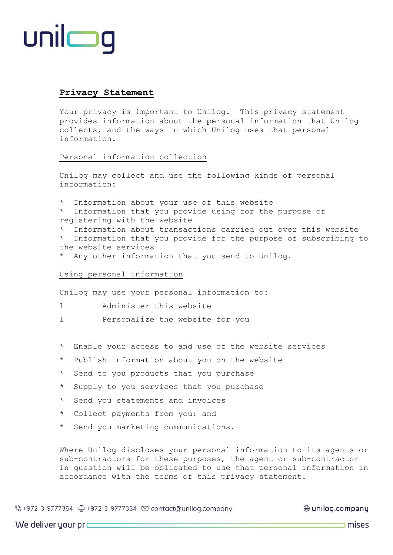# unilmg

# **Privacy Statement**

Your privacy is important to Unilog. This privacy statement provides information about the personal information that Unilog collects, and the ways in which Unilog uses that personal information.

## Personal information collection

Unilog may collect and use the following kinds of personal information:

- \* Information about your use of this website
- \* Information that you provide using for the purpose of registering with the website
- Information about transactions carried out over this website

\* Information that you provide for the purpose of subscribing to the website services

\* Any other information that you send to Unilog.

# Using personal information

Unilog may use your personal information to:

- l Administer this website
- l Personalize the website for you
- \* Enable your access to and use of the website services
- \* Publish information about you on the website
- \* Send to you products that you purchase
- \* Supply to you services that you purchase
- \* Send you statements and invoices
- \* Collect payments from you; and
- \* Send you marketing communications.

Where Unilog discloses your personal information to its agents or sub-contractors for these purposes, the agent or sub-contractor in question will be obligated to use that personal information in accordance with the terms of this privacy statement.

⊕ unilog.company

We deliver your  $pr$  $\qquad$ 

 $\equiv$  mises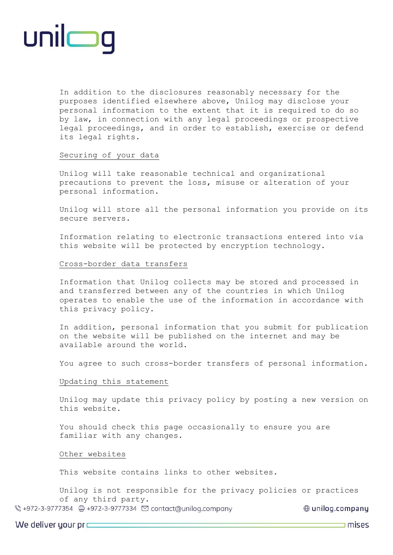

In addition to the disclosures reasonably necessary for the purposes identified elsewhere above, Unilog may disclose your personal information to the extent that it is required to do so by law, in connection with any legal proceedings or prospective legal proceedings, and in order to establish, exercise or defend its legal rights.

## Securing of your data

Unilog will take reasonable technical and organizational precautions to prevent the loss, misuse or alteration of your personal information.

Unilog will store all the personal information you provide on its secure servers.

Information relating to electronic transactions entered into via this website will be protected by encryption technology.

## Cross-border data transfers

Information that Unilog collects may be stored and processed in and transferred between any of the countries in which Unilog operates to enable the use of the information in accordance with this privacy policy.

In addition, personal information that you submit for publication on the website will be published on the internet and may be available around the world.

You agree to such cross-border transfers of personal information.

### Updating this statement

Unilog may update this privacy policy by posting a new version on this website.

You should check this page occasionally to ensure you are familiar with any changes.

### Other websites

This website contains links to other websites.

Unilog is not responsible for the privacy policies or practices of any third party.

⊕ unilog.company

We deliver your  $pr$  $\equiv$